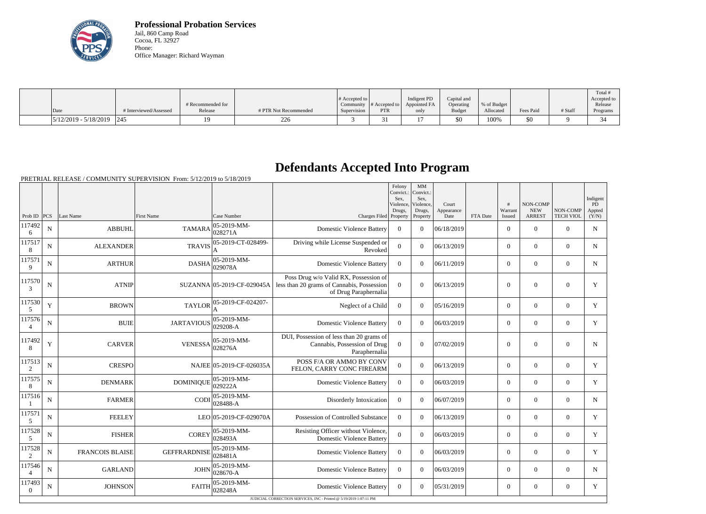

**Professional Probation Services** Jail, 860 Camp Road Cocoa, FL 32927 Phone: Office Manager: Richard Wayman

|                               |                        |                   |                       |                  |                  |              |               |             |           |         | Total !     |
|-------------------------------|------------------------|-------------------|-----------------------|------------------|------------------|--------------|---------------|-------------|-----------|---------|-------------|
|                               |                        |                   |                       | $\#$ Accepted to |                  | Indigent PD  | Capital and   |             |           |         | Accepted to |
|                               |                        | # Recommended for |                       | Community        | $\#$ Accepted to | Appointed FA | Operating     | % of Budget |           |         | Release     |
| Date                          | # Interviewed/Assessed | Release           | # PTR Not Recommended | Supervision      | PTR              | only         | <b>Budget</b> | Allocated   | Fees Paid | # Staff | Programs    |
| $ 5/12/2019 - 5/18/2019 $ 245 |                        |                   | 226                   |                  | ر ر              |              | \$0           | 100%        | 50        |         | 34          |

## **Defendants Accepted Into Program**

PRETRIAL RELEASE / COMMUNITY SUPERVISION From: 5/12/2019 to 5/18/2019

|                          |             |                        |                     |                                                    |                                                                                                              | Felony<br>Convict.:<br>Sex.<br>Violence,<br>Drugs, | MM<br>Convict.:<br>Sex,<br>Violence,<br>Drugs, | Court<br>Appearance |          | #<br>Warrant     | <b>NON-COMP</b><br><b>NEW</b> | NON-COMP         | Indigent<br>PD<br>Appted |
|--------------------------|-------------|------------------------|---------------------|----------------------------------------------------|--------------------------------------------------------------------------------------------------------------|----------------------------------------------------|------------------------------------------------|---------------------|----------|------------------|-------------------------------|------------------|--------------------------|
| Prob ID                  | PCS         | Last Name              | <b>First Name</b>   | Case Number                                        | Charges Filed Property                                                                                       |                                                    | Property                                       | Date                | FTA Date | Issued           | <b>ARREST</b>                 | <b>TECH VIOL</b> | (Y/N)                    |
| 117492<br>6              | $\mathbf N$ | <b>ABBUHL</b>          | <b>TAMARA</b>       | $ 05-2019-MM -$<br>028271A                         | <b>Domestic Violence Battery</b>                                                                             | $\overline{0}$                                     | $\overline{0}$                                 | 06/18/2019          |          | $\overline{0}$   | $\overline{0}$                | $\overline{0}$   | $\mathbf N$              |
| 117517<br>8              | N           | <b>ALEXANDER</b>       | <b>TRAVIS</b>       | 05-2019-CT-028499-                                 | Driving while License Suspended or<br>Revoked                                                                | $\overline{0}$                                     | $\Omega$                                       | 06/13/2019          |          | $\overline{0}$   | $\overline{0}$                | $\overline{0}$   | $\mathbf N$              |
| 117571<br>9              | N           | <b>ARTHUR</b>          | <b>DASHA</b>        | 05-2019-MM-<br> 029078A                            | <b>Domestic Violence Battery</b>                                                                             | $\overline{0}$                                     | $\Omega$                                       | 06/11/2019          |          | $\overline{0}$   | $\overline{0}$                | $\mathbf{0}$     | $\mathbf N$              |
| 117570<br>3              | N           | <b>ATNIP</b>           |                     | SUZANNA 05-2019-CF-029045A                         | Poss Drug w/o Valid RX, Possession of<br>less than 20 grams of Cannabis, Possession<br>of Drug Paraphernalia | $\Omega$                                           | $\theta$                                       | 06/13/2019          |          | $\boldsymbol{0}$ | $\overline{0}$                | $\overline{0}$   | Y                        |
| 117530<br>5              | Y           | <b>BROWN</b>           | <b>TAYLOR</b>       | 05-2019-CF-024207-                                 | Neglect of a Child                                                                                           | $\overline{0}$                                     | $\Omega$                                       | 05/16/2019          |          | $\overline{0}$   | $\overline{0}$                | $\overline{0}$   | Y                        |
| 117576<br>4              | N           | <b>BUIE</b>            | <b>JARTAVIOUS</b>   | 05-2019-MM-<br>029208-A                            | <b>Domestic Violence Battery</b>                                                                             | $\overline{0}$                                     | $\Omega$                                       | 06/03/2019          |          | $\overline{0}$   | $\mathbf{0}$                  | $\mathbf{0}$     | Y                        |
| 117492<br>8              | Y           | <b>CARVER</b>          | <b>VENESSA</b>      | $ 05-2019-MM-$<br>028276A                          | DUI, Possession of less than 20 grams of<br>Cannabis, Possession of Drug<br>Paraphernalia                    | $\overline{0}$                                     | $\Omega$                                       | 07/02/2019          |          | $\mathbf{0}$     | $\mathbf{0}$                  | $\mathbf{0}$     | $\mathbf N$              |
| 117513<br>2              | N           | <b>CRESPO</b>          |                     | NAJEE 05-2019-CF-026035A                           | POSS F/A OR AMMO BY CONV<br>FELON, CARRY CONC FIREARM                                                        | $\overline{0}$                                     | $\Omega$                                       | 06/13/2019          |          | $\overline{0}$   | $\overline{0}$                | $\mathbf{0}$     | Y                        |
| 117575<br>8              | N           | <b>DENMARK</b>         | <b>DOMINIQUE</b>    | 05-2019-MM-<br>029222A                             | <b>Domestic Violence Battery</b>                                                                             | $\overline{0}$                                     | $\Omega$                                       | 06/03/2019          |          | $\overline{0}$   | $\overline{0}$                | $\overline{0}$   | Y                        |
| 117516                   | $\mathbf N$ | <b>FARMER</b>          |                     | 05-2019-MM-<br>$\text{CODI}\Big _{028488-A}^{000}$ | Disorderly Intoxication                                                                                      | $\overline{0}$                                     | $\Omega$                                       | 06/07/2019          |          | $\overline{0}$   | $\mathbf{0}$                  | $\overline{0}$   | $\mathbf N$              |
| 117571<br>5              | N           | <b>FEELEY</b>          |                     | LEO 05-2019-CF-029070A                             | Possession of Controlled Substance                                                                           | $\overline{0}$                                     | $\Omega$                                       | 06/13/2019          |          | $\overline{0}$   | $\boldsymbol{0}$              | $\overline{0}$   | Y                        |
| 117528<br>5              | $\mathbf N$ | <b>FISHER</b>          | <b>COREY</b>        | 05-2019-MM-<br>028493A                             | Resisting Officer without Violence,<br><b>Domestic Violence Battery</b>                                      | $\overline{0}$                                     | $\Omega$                                       | 06/03/2019          |          | $\overline{0}$   | $\overline{0}$                | $\overline{0}$   | Y                        |
| 117528<br>2              | N           | <b>FRANCOIS BLAISE</b> | <b>GEFFRARDNISE</b> | 05-2019-MM-<br>028481A                             | <b>Domestic Violence Battery</b>                                                                             | $\overline{0}$                                     | $\theta$                                       | 06/03/2019          |          | $\overline{0}$   | $\overline{0}$                | $\overline{0}$   | Y                        |
| 117546<br>$\overline{4}$ | N           | <b>GARLAND</b>         | <b>JOHN</b>         | $ 05-2019-MM -$<br>028670-A                        | <b>Domestic Violence Battery</b>                                                                             | $\overline{0}$                                     | $\Omega$                                       | 06/03/2019          |          | $\overline{0}$   | $\overline{0}$                | $\overline{0}$   | $\mathbf N$              |
| 117493<br>$\theta$       | N           | <b>JOHNSON</b>         | <b>FAITH</b>        | 05-2019-MM-<br>028248A                             | <b>Domestic Violence Battery</b>                                                                             | $\overline{0}$                                     | $\Omega$                                       | 05/31/2019          |          | $\overline{0}$   | $\overline{0}$                | $\overline{0}$   | Y                        |
|                          |             |                        |                     |                                                    | JUDICIAL CORRECTION SERVICES, INC - Printed @ 5/19/2019 1:07:11 PM                                           |                                                    |                                                |                     |          |                  |                               |                  |                          |